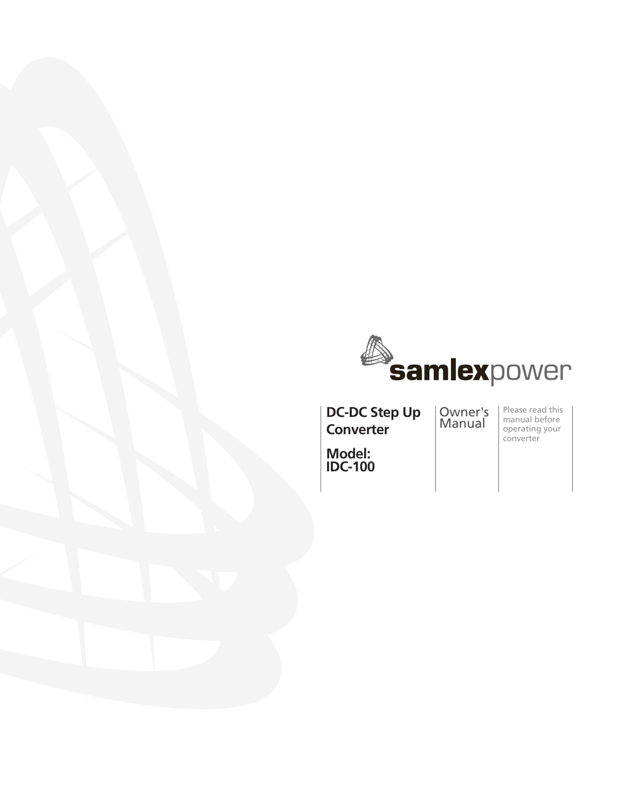

**DC-DC Step Up Converter**

Owner's Manual

Please read this manual before operating your converter

**Model: IDC-100**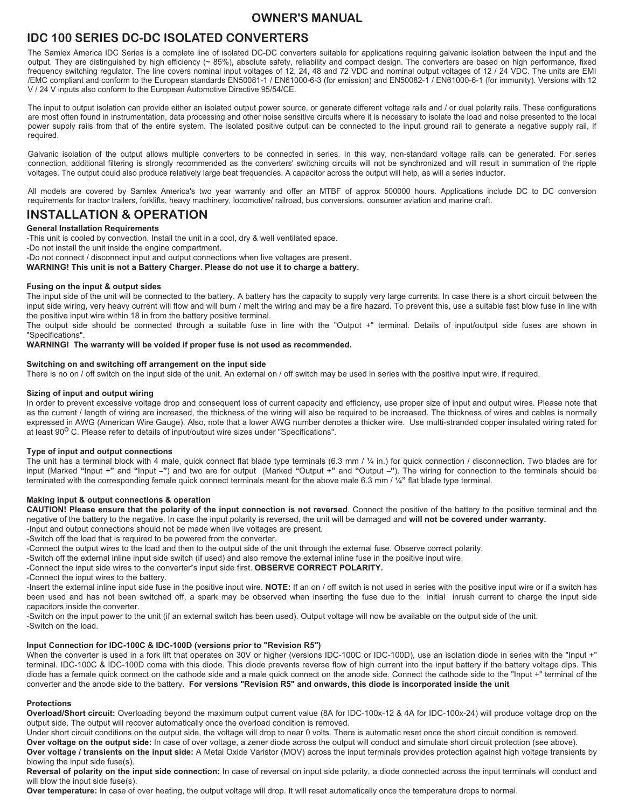## **IDC 100 SERIES DC-DC ISOLATED CONVERTERS**

The Samlex America IDC Series is a complete line of isolated DC-DC converters suitable for applications requiring galvanic isolation between the input and the output. They are distinguished by high efficiency (~ 85%), absolute safety, reliability and compact design. The converters are based on high performance, fixed frequency switching regulator. The line covers nominal input voltages of 12, 24, 48 and 72 VDC and nominal output voltages of 12 / 24 VDC. The units are EMI /EMC compliant and conform to the European standards EN50081-1 / EN61000-6-3 (for emission) and EN50082-1 / EN61000-6-1 (for immunity). Versions with 12 V / 24 V inputs also conform to the European Automotive Directive 95/54/CE.

The input to output isolation can provide either an isolated output power source, or generate different voltage rails and / or dual polarity rails. These configurations are most often found in instrumentation, data processing and other noise sensitive circuits where it is necessary to isolate the load and noise presented to the local power supply rails from that of the entire system. The isolated positive output can be connected to the input ground rail to generate a negative supply rail, if required.

Galvanic isolation of the output allows multiple converters to be connected in series. In this way, non-standard voltage rails can be generated. For series connection, additional filtering is strongly recommended as the converters' switching circuits will not be synchronized and will result in summation of the ripple voltages. The output could also produce relatively large beat frequencies. A capacitor across the output will help, as will a series inductor.

All models are covered by Samlex America's two year warranty and offer an MTBF of approx 500000 hours. Applications include DC to DC conversion requirements for tractor trailers, forklifts, heavy machinery, locomotive/ railroad, bus conversions, consumer aviation and marine craft.

### **INSTALLATION & OPERATION**

#### **General Installation Requirements**

-This unit is cooled by convection. Install the unit in a cool, dry & well ventilated space.

-Do not install the unit inside the engine compartment.

-Do not connect / disconnect input and output connections when live voltages are present.

**WARNING! This unit is not a Battery Charger. Please do not use it to charge a battery.**

#### **Fusing on the input & output sides**

The input side of the unit will be connected to the battery. A battery has the capacity to supply very large currents. In case there is a short circuit between the input side wiring, very heavy current will flow and will burn / melt the wiring and may be a fire hazard. To prevent this, use a suitable fast blow fuse in line with the positive input wire within 18 in from the battery positive terminal.

The output side should be connected through a suitable fuse in line with the "Output +" terminal. Details of input/output side fuses are shown in "Specifications".

#### **WARNING! The warranty will be voided if proper fuse is not used as recommended.**

#### **Switching on and switching off arrangement on the input side**

There is no on / off switch on the input side of the unit. An external on / off switch may be used in series with the positive input wire, if required.

#### **Sizing of input and output wiring**

In order to prevent excessive voltage drop and consequent loss of current capacity and efficiency, use proper size of input and output wires. Please note that as the current / length of wiring are increased, the thickness of the wiring will also be required to be increased. The thickness of wires and cables is normally expressed in AWG (American Wire Gauge). Also, note that a lower AWG number denotes a thicker wire. Use multi-stranded copper insulated wiring rated for at least 90<sup>o</sup> C. Please refer to details of input/output wire sizes under "Specifications".

#### **Type of input and output connections**

The unit has a terminal block with 4 male, quick connect flat blade type terminals (6.3 mm / **¼** in.) for quick connection / disconnection. Two blades are for input (Marked **"**Input +**"** and **"**Input **–"**) and two are for output (Marked **"**Output +**"** and **"**Output **–"**). The wiring for connection to the terminals should be terminated with the corresponding female quick connect terminals meant for the above male 6.3 mm / **¼"** flat blade type terminal.

#### **Making input & output connections & operation**

**CAUTION! Please ensure that the polarity of the input connection is not reversed**. Connect the positive of the battery to the positive terminal and the negative of the battery to the negative. In case the input polarity is reversed, the unit will be damaged and **will not be covered under warranty.** -Input and output connections should not be made when live voltages are present.

-Switch off the load that is required to be powered from the converter.

-Connect the output wires to the load and then to the output side of the unit through the external fuse. Observe correct polarity.

-Switch off the external inline input side switch (if used) and also remove the external inline fuse in the positive input wire.

-Connect the input side wires to the converter**'**s input side first. **OBSERVE CORRECT POLARITY.**

-Connect the input wires to the battery.

-Insert the external inline input side fuse in the positive input wire. **NOTE:** If an on / off switch is not used in series with the positive input wire or if a switch has been used and has not been switched off, a spark may be observed when inserting the fuse due to the initial inrush current to charge the input side capacitors inside the converter.

-Switch on the input power to the unit (if an external switch has been used). Output voltage will now be available on the output side of the unit. -Switch on the load.

#### **Input Connection for IDC-100C & IDC-100D (versions prior to "Revision R5")**

When the converter is used in a fork lift that operates on 30V or higher (versions IDC-100C or IDC-100D), use an isolation diode in series with the "Input +" terminal. IDC-100C & IDC-100D come with this diode. This diode prevents reverse flow of high current into the input battery if the battery voltage dips. This diode has a female quick connect on the cathode side and a male quick connect on the anode side. Connect the cathode side to the "Input +" terminal of the converter and the anode side to the battery. **For versions "Revision R5" and onwards, this diode is incorporated inside the unit** 

#### **Protections**

**Overload/Short circuit:** Overloading beyond the maximum output current value (8A for IDC-100x-12 & 4A for IDC-100x-24) will produce voltage drop on the output side. The output will recover automatically once the overload condition is removed.

Under short circuit conditions on the output side, the voltage will drop to near 0 volts. There is automatic reset once the short circuit condition is removed.

**Over voltage on the output side:** In case of over voltage, a zener diode across the output will conduct and simulate short circuit protection (see above). **Over voltage / transients on the input side:** A Metal Oxide Varistor (MOV) across the input terminals provides protection against high voltage transients by blowing the input side fuse(s).

**Reversal of polarity on the input side connection:** In case of reversal on input side polarity, a diode connected across the input terminals will conduct and will blow the input side fuse(s).

**Over temperature:** In case of over heating, the output voltage will drop. It will reset automatically once the temperature drops to normal.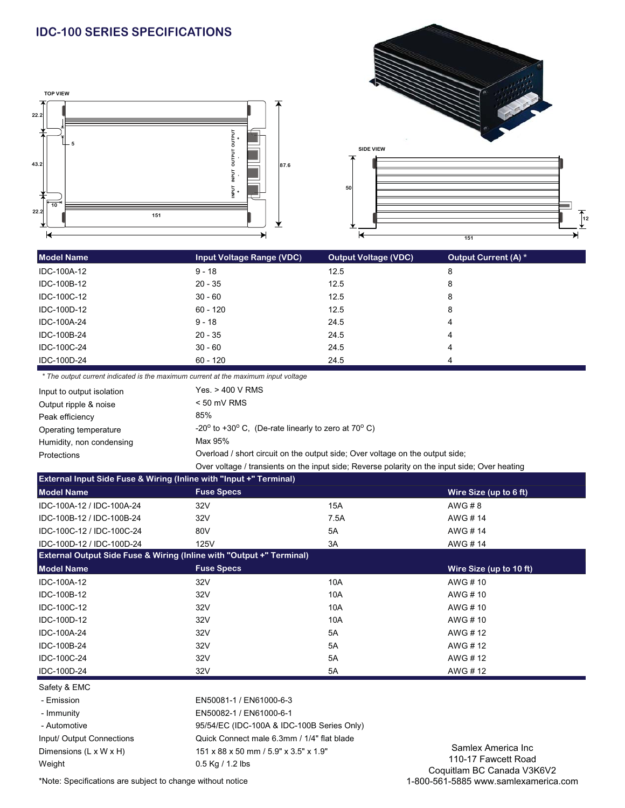# **IDC-100 SERIES SPECIFICATIONS**





| <b>Model Name</b> | <b>Input Voltage Range (VDC)</b> | <b>Output Voltage (VDC)</b> | Output Current (A) * |
|-------------------|----------------------------------|-----------------------------|----------------------|
| IDC-100A-12       | $9 - 18$                         | 12.5                        | 8                    |
| IDC-100B-12       | $20 - 35$                        | 12.5                        | 8                    |
| IDC-100C-12       | $30 - 60$                        | 12.5                        | 8                    |
| IDC-100D-12       | 60 - 120                         | 12.5                        | 8                    |
| IDC-100A-24       | $9 - 18$                         | 24.5                        | 4                    |
| IDC-100B-24       | $20 - 35$                        | 24.5                        | 4                    |
| IDC-100C-24       | $30 - 60$                        | 24.5                        | 4                    |
| IDC-100D-24       | $60 - 120$                       | 24.5                        | 4                    |
|                   |                                  |                             |                      |

*\* The output current indicated is the maximum current at the maximum input voltage*

| Input to output isolation | Yes. > 400 V RMS                                                                              |  |
|---------------------------|-----------------------------------------------------------------------------------------------|--|
| Output ripple & noise     | $< 50$ mV RMS                                                                                 |  |
| Peak efficiency           | 85%                                                                                           |  |
| Operating temperature     | -20 $^{\circ}$ to +30 $^{\circ}$ C, (De-rate linearly to zero at 70 $^{\circ}$ C)             |  |
| Humidity, non condensing  | Max 95%                                                                                       |  |
| <b>Protections</b>        | Overload / short circuit on the output side; Over voltage on the output side;                 |  |
|                           | Over voltage / transients on the input side; Reverse polarity on the input side; Over heating |  |

| <b>External Input Side Fuse &amp; Wiring (Inline with "Input +" Terminal)</b>   |            |                         |  |  |  |
|---------------------------------------------------------------------------------|------------|-------------------------|--|--|--|
| <b>Fuse Specs</b>                                                               |            | Wire Size (up to 6 ft)  |  |  |  |
| 32V                                                                             | <b>15A</b> | AWG # 8                 |  |  |  |
| 32V                                                                             | 7.5A       | AWG #14                 |  |  |  |
| 80V                                                                             | 5A         | AWG #14                 |  |  |  |
| 125V                                                                            | 3A         | AWG #14                 |  |  |  |
| <b>External Output Side Fuse &amp; Wiring (Inline with "Output +" Terminal)</b> |            |                         |  |  |  |
| <b>Fuse Specs</b>                                                               |            | Wire Size (up to 10 ft) |  |  |  |
| 32V                                                                             | 10A        | AWG #10                 |  |  |  |
| 32V                                                                             | 10A        | AWG # 10                |  |  |  |
| 32V                                                                             | 10A        | AWG # 10                |  |  |  |
| 32V                                                                             | 10A        | AWG # 10                |  |  |  |
| 32V                                                                             | 5A         | AWG #12                 |  |  |  |
| 32V                                                                             | 5A         | AWG #12                 |  |  |  |
| 32V                                                                             | 5A         | AWG #12                 |  |  |  |
| 32V                                                                             | 5A         | AWG #12                 |  |  |  |
|                                                                                 |            |                         |  |  |  |

### Safety & EMC

 - Emission EN50081-1 / EN61000-6-3 - Immunity EN50082-1 / EN61000-6-1 Weight 0.5 Kg / 1.2 lbs

 - Automotive 95/54/EC (IDC-100A & IDC-100B Series Only) Input/ Output Connections Quick Connect male 6.3mm / 1/4" flat blade Dimensions (L x W x H) 151 x 88 x 50 mm / 5.9" x 3.5" x 1.9"

Samlex America Inc 110-17 Fawcett Road Coquitlam BC Canada V3K6V2 1-800-561-5885 www.samlexamerica.com

\*Note: Specifications are subject to change without notice